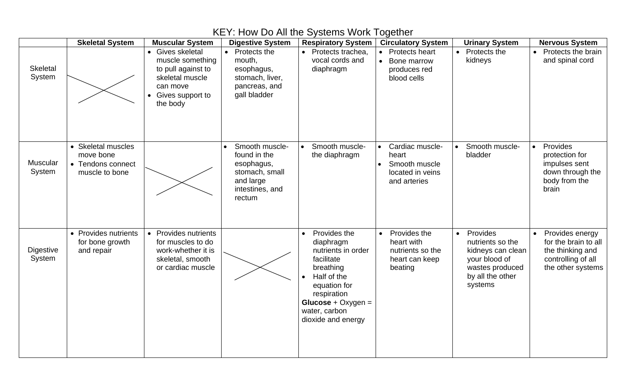|                            | <b>Skeletal System</b>                                                 | <b>Muscular System</b>                                                                                                    | <b>Digestive System</b>                                                                                  | <b>Respiratory System</b>                                                                                                                                                                            | <b>Circulatory System</b>                                                     | <b>Urinary System</b>                                                                                                             | <b>Nervous System</b>                                                                                               |
|----------------------------|------------------------------------------------------------------------|---------------------------------------------------------------------------------------------------------------------------|----------------------------------------------------------------------------------------------------------|------------------------------------------------------------------------------------------------------------------------------------------------------------------------------------------------------|-------------------------------------------------------------------------------|-----------------------------------------------------------------------------------------------------------------------------------|---------------------------------------------------------------------------------------------------------------------|
| Skeletal<br>System         |                                                                        | • Gives skeletal<br>muscle something<br>to pull against to<br>skeletal muscle<br>can move<br>Gives support to<br>the body | • Protects the<br>mouth,<br>esophagus,<br>stomach, liver,<br>pancreas, and<br>gall bladder               | • Protects trachea,<br>vocal cords and<br>diaphragm                                                                                                                                                  | <b>Protects heart</b><br>Bone marrow<br>produces red<br>blood cells           | Protects the<br>$\bullet$<br>kidneys                                                                                              | Protects the brain<br>and spinal cord                                                                               |
| <b>Muscular</b><br>System  | • Skeletal muscles<br>move bone<br>• Tendons connect<br>muscle to bone |                                                                                                                           | Smooth muscle-<br>found in the<br>esophagus,<br>stomach, small<br>and large<br>intestines, and<br>rectum | Smooth muscle-<br>$\bullet$<br>the diaphragm                                                                                                                                                         | Cardiac muscle-<br>heart<br>Smooth muscle<br>located in veins<br>and arteries | Smooth muscle-<br>bladder                                                                                                         | Provides<br>$\bullet$<br>protection for<br>impulses sent<br>down through the<br>body from the<br>brain              |
| <b>Digestive</b><br>System | • Provides nutrients<br>for bone growth<br>and repair                  | • Provides nutrients<br>for muscles to do<br>work-whether it is<br>skeletal, smooth<br>or cardiac muscle                  |                                                                                                          | Provides the<br>$\bullet$<br>diaphragm<br>nutrients in order<br>facilitate<br>breathing<br>Half of the<br>equation for<br>respiration<br>Glucose + $Oxygen =$<br>water, carbon<br>dioxide and energy | Provides the<br>heart with<br>nutrients so the<br>heart can keep<br>beating   | Provides<br>$\bullet$<br>nutrients so the<br>kidneys can clean<br>your blood of<br>wastes produced<br>by all the other<br>systems | Provides energy<br>$\bullet$<br>for the brain to all<br>the thinking and<br>controlling of all<br>the other systems |

## KEY: How Do All the Systems Work Together